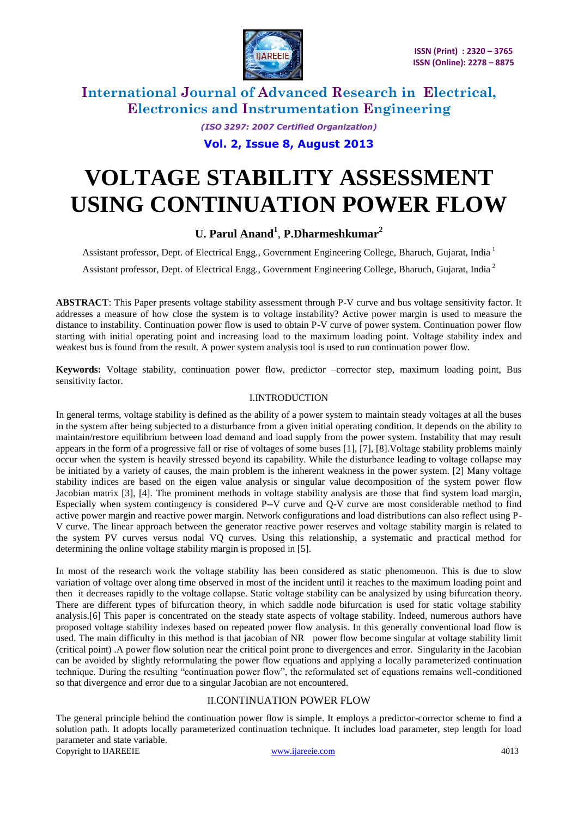

> *(ISO 3297: 2007 Certified Organization)* **Vol. 2, Issue 8, August 2013**

# **VOLTAGE STABILITY ASSESSMENT USING CONTINUATION POWER FLOW**

### **U. Parul Anand<sup>1</sup>** , **P.Dharmeshkumar<sup>2</sup>**

Assistant professor, Dept. of Electrical Engg., Government Engineering College, Bharuch, Gujarat, India <sup>1</sup>

Assistant professor, Dept. of Electrical Engg., Government Engineering College, Bharuch, Gujarat, India<sup>2</sup>

**ABSTRACT**: This Paper presents voltage stability assessment through P-V curve and bus voltage sensitivity factor. It addresses a measure of how close the system is to voltage instability? Active power margin is used to measure the distance to instability. Continuation power flow is used to obtain P-V curve of power system. Continuation power flow starting with initial operating point and increasing load to the maximum loading point. Voltage stability index and weakest bus is found from the result. A power system analysis tool is used to run continuation power flow.

**Keywords:** Voltage stability, continuation power flow, predictor –corrector step, maximum loading point, Bus sensitivity factor.

### I.INTRODUCTION

In general terms, voltage stability is defined as the ability of a power system to maintain steady voltages at all the buses in the system after being subjected to a disturbance from a given initial operating condition. It depends on the ability to maintain/restore equilibrium between load demand and load supply from the power system. Instability that may result appears in the form of a progressive fall or rise of voltages of some buses [1], [7], [8].Voltage stability problems mainly occur when the system is heavily stressed beyond its capability. While the disturbance leading to voltage collapse may be initiated by a variety of causes, the main problem is the inherent weakness in the power system. [2] Many voltage stability indices are based on the eigen value analysis or singular value decomposition of the system power flow Jacobian matrix [3], [4]. The prominent methods in voltage stability analysis are those that find system load margin, Especially when system contingency is considered P--V curve and Q-V curve are most considerable method to find active power margin and reactive power margin. Network configurations and load distributions can also reflect using P-V curve. The linear approach between the generator reactive power reserves and voltage stability margin is related to the system PV curves versus nodal VQ curves. Using this relationship, a systematic and practical method for determining the online voltage stability margin is proposed in [5].

In most of the research work the voltage stability has been considered as static phenomenon. This is due to slow variation of voltage over along time observed in most of the incident until it reaches to the maximum loading point and then it decreases rapidly to the voltage collapse. Static voltage stability can be analysized by using bifurcation theory. There are different types of bifurcation theory, in which saddle node bifurcation is used for static voltage stability analysis.[6] This paper is concentrated on the steady state aspects of voltage stability. Indeed, numerous authors have proposed voltage stability indexes based on repeated power flow analysis. In this generally conventional load flow is used. The main difficulty in this method is that jacobian of NR power flow become singular at voltage stability limit (critical point) .A power flow solution near the critical point prone to divergences and error. Singularity in the Jacobian can be avoided by slightly reformulating the power flow equations and applying a locally parameterized continuation technique. During the resulting "continuation power flow", the reformulated set of equations remains well-conditioned so that divergence and error due to a singular Jacobian are not encountered.

### II.CONTINUATION POWER FLOW

Copyright to IJAREEIE [www.ijareeie.com](http://www.ijareeie.com/) 4013 The general principle behind the continuation power flow is simple. It employs a predictor-corrector scheme to find a solution path. It adopts locally parameterized continuation technique. It includes load parameter, step length for load parameter and state variable.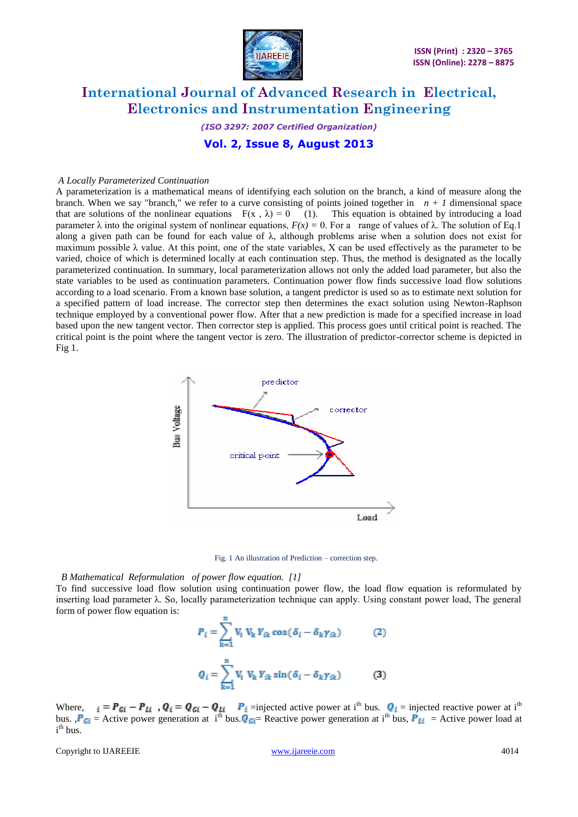

*(ISO 3297: 2007 Certified Organization)* **Vol. 2, Issue 8, August 2013**

#### *A Locally Parameterized Continuation*

A parameterization is a mathematical means of identifying each solution on the branch, a kind of measure along the branch. When we say "branch," we refer to a curve consisting of points joined together in  $n + 1$  dimensional space that are solutions of the nonlinear equations  $F(x, \lambda) = 0$  (1). This equation is obtained by introducing a load parameter λ into the original system of nonlinear equations,  $F(x) = 0$ . For a range of values of λ. The solution of Eq.1 along a given path can be found for each value of  $\lambda$ , although problems arise when a solution does not exist for maximum possible λ value. At this point, one of the state variables, X can be used effectively as the parameter to be varied, choice of which is determined locally at each continuation step. Thus, the method is designated as the locally parameterized continuation. In summary, local parameterization allows not only the added load parameter, but also the state variables to be used as continuation parameters. Continuation power flow finds successive load flow solutions according to a load scenario. From a known base solution, a tangent predictor is used so as to estimate next solution for a specified pattern of load increase. The corrector step then determines the exact solution using Newton-Raphson technique employed by a conventional power flow. After that a new prediction is made for a specified increase in load based upon the new tangent vector. Then corrector step is applied. This process goes until critical point is reached. The critical point is the point where the tangent vector is zero. The illustration of predictor-corrector scheme is depicted in Fig 1.



Fig. 1 An illustration of Prediction – correction step.

#### *B Mathematical Reformulation of power flow equation. [1]*

To find successive load flow solution using continuation power flow, the load flow equation is reformulated by inserting load parameter λ. So, locally parameterization technique can apply. Using constant power load, The general form of power flow equation is:

$$
P_i = \sum_{k=1}^{n} V_i V_k Y_{ik} \cos(\delta_i - \delta_k \gamma_{ik})
$$
 (2)  

$$
Q_i = \sum_{k=1}^{n} V_i V_k Y_{ik} \sin(\delta_i - \delta_k \gamma_{ik})
$$
 (3)

Where,  $i = P_{Gi} - P_{Li}$ ,  $Q_i = Q_{Gi} - Q_{Li}$   $P_i$  =injected active power at i<sup>th</sup> bus.  $Q_i$  = injected reactive power at i<sup>th</sup> bus.  $P_{Gi}$  = Active power generation at i<sup>th</sup> bus.  $Q_{Gi}$  = Reactive power generation at i<sup>th</sup> bus,  $P_{Li}$  = Active power load at i<sup>th</sup> bus.

Copyright to IJAREEIE [www.ijareeie.com](http://www.ijareeie.com/) 4014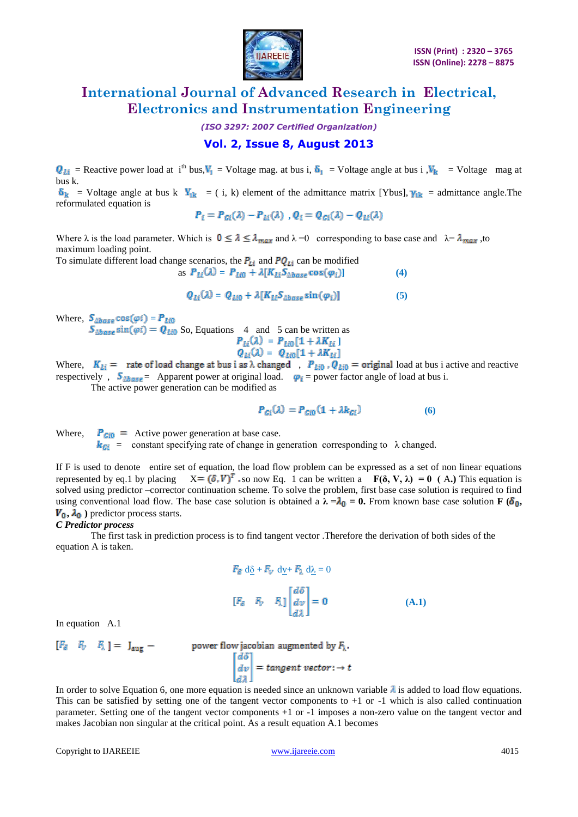

*(ISO 3297: 2007 Certified Organization)*

### **Vol. 2, Issue 8, August 2013**

 $Q_{Li}$  = Reactive power load at i<sup>th</sup> bus,  $V_1$  = Voltage mag. at bus i,  $\delta_1$  = Voltage angle at bus i ,  $V_k$  = Voltage mag at bus k.

 $\delta_{\mathbf{k}}$  = Voltage angle at bus k  $\mathbf{V}_{\mathbf{ik}}$  = ( i, k) element of the admittance matrix [Ybus],  $\gamma_{\mathbf{ik}}$  = admittance angle. The reformulated equation is

$$
P_i = P_{Gi}(\lambda) - P_{Li}(\lambda) , Q_i = Q_{Gi}(\lambda) - Q_{Li}(\lambda)
$$

Where  $\lambda$  is the load parameter. Which is  $0 \le \lambda \le \lambda_{max}$  and  $\lambda = 0$  corresponding to base case and  $\lambda = \lambda_{max}$ , to maximum loading point.

To simulate different load change scenarios, the  $P_{Li}$  and  $PQ_{Li}$  can be modified as  $P_{Li}(\lambda) = P_{Li0} + \lambda [K_{Li} S_{\Delta base} \cos(\varphi_i)]$  (4)

$$
Q_{Li}(\lambda) = Q_{Li0} + \lambda [K_{Li}S_{\Delta base} \sin(\varphi_i)] \tag{5}
$$

Where,  $S_{\Delta base} \cos(\varphi i) = P_{Li0}$ 

 $S_{\Delta base} \sin(\varphi i) = Q_{\text{Li0}}$  So, Equations 4 and 5 can be written as

$$
P_{Li}(\lambda) = P_{Li0}[1 + \lambda K_{Li}]
$$
  

$$
Q_{Li}(\lambda) = Q_{Li0}[1 + \lambda K_{Li}]
$$

Where,  $K_{Li}$  = rate of load change at bus i as  $\lambda$  changed,  $P_{Li0}$ ,  $Q_{Li0}$  = original load at bus i active and reactive respectively,  $S_{\Delta base}$  = Apparent power at original load.  $\varphi_i$  = power factor angle of load at bus i.

The active power generation can be modified as

$$
P_{Gi}(\lambda) = P_{Gi0}(1 + \lambda k_{Gi})
$$
 (6)

Where,  $P_{Gi0}$  = Active power generation at base case.

 $k_{Gi}$  = constant specifying rate of change in generation corresponding to  $\lambda$  changed.

If F is used to denote entire set of equation, the load flow problem can be expressed as a set of non linear equations represented by eq.1 by placing  $X = (\delta, V)^T$  so now Eq. 1 can be written a  $F(\delta, V, \lambda) = 0$  (A.) This equation is solved using predictor –corrector continuation scheme. To solve the problem, first base case solution is required to find using conventional load flow. The base case solution is obtained a  $\lambda = \lambda_0 = 0$ . From known base case solution **F** ( $\delta_0$ ,  $V_0$ ,  $\lambda_0$ ) predictor process starts.

#### *C Predictor process*

 The first task in prediction process is to find tangent vector .Therefore the derivation of both sides of the equation A is taken.

$$
F_{\delta} d\underline{\delta} + F_{V} d\underline{v} + F_{\lambda} d\underline{\lambda} = 0
$$
  

$$
[F_{\delta} \quad F_{V} \quad F_{\lambda}] \begin{bmatrix} d\delta \\ dv \\ d\lambda \end{bmatrix} = \mathbf{0}
$$
 (A.1)

In equation A.1

 $[F_{\delta}$   $F_{V}$   $F_{\lambda}$  ] =  $J_{\text{aug}}$  – power flow jacobian augmented by  $F_{\lambda}$ .<br> $\begin{bmatrix} d\delta \\ dv \end{bmatrix} = tangent vector: \rightarrow t$ 

In order to solve Equation 6, one more equation is needed since an unknown variable  $\lambda$  is added to load flow equations. This can be satisfied by setting one of the tangent vector components to  $+1$  or  $-1$  which is also called continuation parameter. Setting one of the tangent vector components +1 or -1 imposes a non-zero value on the tangent vector and makes Jacobian non singular at the critical point. As a result equation A.1 becomes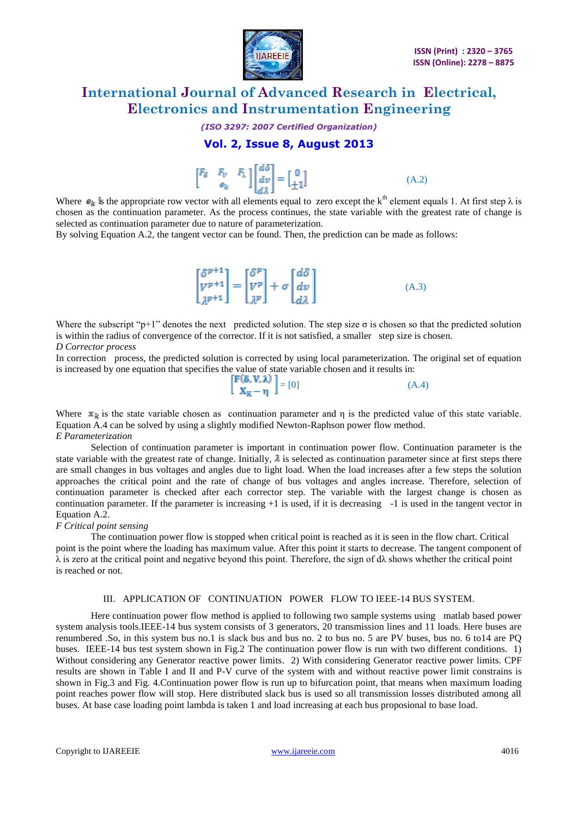

#### *(ISO 3297: 2007 Certified Organization)*

### **Vol. 2, Issue 8, August 2013**

| $\begin{bmatrix} F_{\delta} & F_{V} & F_{\lambda} \\ e_{k} & 0 \end{bmatrix} \begin{bmatrix} d\delta \\ dv \\ d\lambda \end{bmatrix} = \begin{bmatrix} 0 \\ \pm 1 \end{bmatrix}$ |  |  |  | (A.2) |
|----------------------------------------------------------------------------------------------------------------------------------------------------------------------------------|--|--|--|-------|
|----------------------------------------------------------------------------------------------------------------------------------------------------------------------------------|--|--|--|-------|

Where  $\mathbf{e}_k$  is the appropriate row vector with all elements equal to zero except the k<sup>th</sup> element equals 1. At first step  $\lambda$  is chosen as the continuation parameter. As the process continues, the state variable with the greatest rate of change is selected as continuation parameter due to nature of parameterization.

By solving Equation A.2, the tangent vector can be found. Then, the prediction can be made as follows:

|                                                                                                                                                                                                        |  |  | (A.3) |
|--------------------------------------------------------------------------------------------------------------------------------------------------------------------------------------------------------|--|--|-------|
| $\begin{bmatrix} \delta^{p+1} \\ V^{p+1} \\ \lambda^{p+1} \end{bmatrix} = \begin{bmatrix} \delta^p \\ V^p \\ \lambda^p \end{bmatrix} + \sigma \begin{bmatrix} d\delta \\ dv \\ d\lambda \end{bmatrix}$ |  |  |       |

Where the subscript " $p+1$ " denotes the next predicted solution. The step size  $\sigma$  is chosen so that the predicted solution is within the radius of convergence of the corrector. If it is not satisfied, a smaller step size is chosen.

*D Corrector process*

In correction process, the predicted solution is corrected by using local parameterization. The original set of equation is increased by one equation that specifies the value of state variable chosen and it results in:

 $\begin{bmatrix} \mathbf{F}(\mathbf{\delta}, \mathbf{V}, \boldsymbol{\lambda}) \\ \mathbf{X}_{\mathbf{K}} - \mathbf{\eta} \end{bmatrix} = [0]$  (A.4)

Where  $x_k$  is the state variable chosen as continuation parameter and η is the predicted value of this state variable. Equation A.4 can be solved by using a slightly modified Newton-Raphson power flow method. *E Parameterization*

Selection of continuation parameter is important in continuation power flow. Continuation parameter is the state variable with the greatest rate of change. Initially,  $\lambda$  is selected as continuation parameter since at first steps there are small changes in bus voltages and angles due to light load. When the load increases after a few steps the solution approaches the critical point and the rate of change of bus voltages and angles increase. Therefore, selection of continuation parameter is checked after each corrector step. The variable with the largest change is chosen as continuation parameter. If the parameter is increasing +1 is used, if it is decreasing -1 is used in the tangent vector in Equation A.2.

#### *F Critical point sensing*

The continuation power flow is stopped when critical point is reached as it is seen in the flow chart. Critical point is the point where the loading has maximum value. After this point it starts to decrease. The tangent component of  $\lambda$  is zero at the critical point and negative beyond this point. Therefore, the sign of d $\lambda$  shows whether the critical point is reached or not.

#### III. APPLICATION OF CONTINUATION POWER FLOW TO IEEE-14 BUS SYSTEM.

Here continuation power flow method is applied to following two sample systems using matlab based power system analysis tools.IEEE-14 bus system consists of 3 generators, 20 transmission lines and 11 loads. Here buses are renumbered .So, in this system bus no.1 is slack bus and bus no. 2 to bus no. 5 are PV buses, bus no. 6 to14 are PQ buses. IEEE-14 bus test system shown in Fig.2 The continuation power flow is run with two different conditions. 1) Without considering any Generator reactive power limits. 2) With considering Generator reactive power limits. CPF results are shown in Table I and II and P-V curve of the system with and without reactive power limit constrains is shown in Fig.3 and Fig. 4.Continuation power flow is run up to bifurcation point, that means when maximum loading point reaches power flow will stop. Here distributed slack bus is used so all transmission losses distributed among all buses. At base case loading point lambda is taken 1 and load increasing at each bus proposional to base load.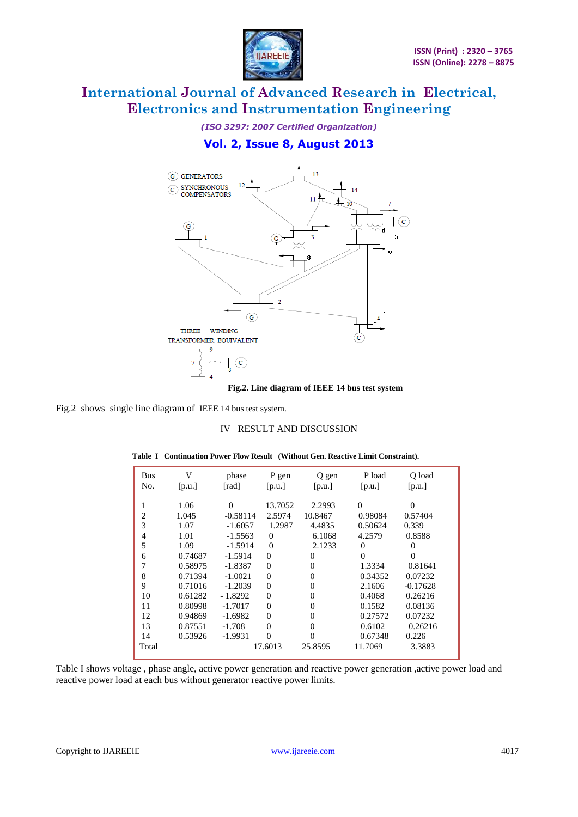

*(ISO 3297: 2007 Certified Organization)* **Vol. 2, Issue 8, August 2013**



**Fig.2. Line diagram of IEEE 14 bus test system**

Fig.2 shows single line diagram of IEEE 14 bus test system.

#### IV RESULT AND DISCUSSION

| <b>Bus</b> | V       | phase      | P gen          | Q gen    | P load   | O load     |  |
|------------|---------|------------|----------------|----------|----------|------------|--|
| No.        | [p.u.]  | [rad]      | [p.u.]         | [p.u.]   | [p.u.]   | [p.u.]     |  |
|            |         |            |                |          |          |            |  |
| 1          | 1.06    | $\Omega$   | 13.7052        | 2.2993   | $\Omega$ | $\Omega$   |  |
| 2          | 1.045   | $-0.58114$ | 2.5974         | 10.8467  | 0.98084  | 0.57404    |  |
| 3          | 1.07    | $-1.6057$  | 1.2987         | 4.4835   | 0.50624  | 0.339      |  |
| 4          | 1.01    | $-1.5563$  | $\Omega$       | 6.1068   | 4.2579   | 0.8588     |  |
| 5          | 1.09    | $-1.5914$  | $\overline{0}$ | 2.1233   | $\Omega$ | $\Omega$   |  |
| 6          | 0.74687 | $-1.5914$  | $\mathbf{0}$   | $\Omega$ | $\theta$ | $\Omega$   |  |
| 7          | 0.58975 | $-1.8387$  | $\mathbf{0}$   | $\Omega$ | 1.3334   | 0.81641    |  |
| 8          | 0.71394 | $-1.0021$  | $\mathbf{0}$   | $\Omega$ | 0.34352  | 0.07232    |  |
| 9          | 0.71016 | $-1.2039$  | $\mathbf{0}$   | $\Omega$ | 2.1606   | $-0.17628$ |  |
| 10         | 0.61282 | $-1.8292$  | $\mathbf{0}$   | $\theta$ | 0.4068   | 0.26216    |  |
| 11         | 0.80998 | $-1.7017$  | $\overline{0}$ | $\Omega$ | 0.1582   | 0.08136    |  |
| 12         | 0.94869 | $-1.6982$  | $\mathbf{0}$   | $\Omega$ | 0.27572  | 0.07232    |  |
| 13         | 0.87551 | $-1.708$   | $\Omega$       | $\Omega$ | 0.6102   | 0.26216    |  |
| 14         | 0.53926 | $-1.9931$  | $\Omega$       | $\Omega$ | 0.67348  | 0.226      |  |
| Total      |         |            | 17.6013        | 25.8595  | 11.7069  | 3.3883     |  |
|            |         |            |                |          |          |            |  |

**Table I Continuation Power Flow Result (Without Gen. Reactive Limit Constraint).**

Table I shows voltage , phase angle, active power generation and reactive power generation ,active power load and reactive power load at each bus without generator reactive power limits.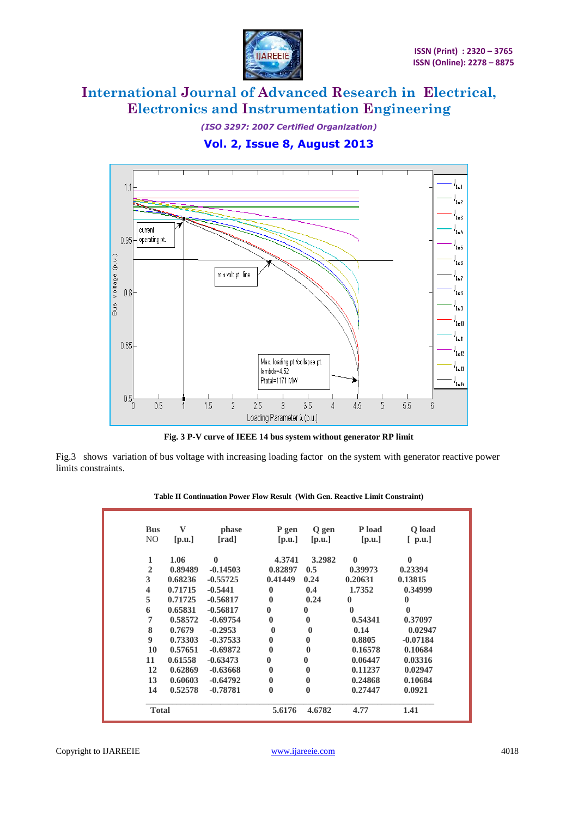

*(ISO 3297: 2007 Certified Organization)*





**Fig. 3 P-V curve of IEEE 14 bus system without generator RP limit**

Fig.3 shows variation of bus voltage with increasing loading factor on the system with generator reactive power limits constraints.

| Table II Continuation Power Flow Result (With Gen. Reactive Limit Constraint) |  |  |  |  |
|-------------------------------------------------------------------------------|--|--|--|--|
|                                                                               |  |  |  |  |

| <b>Bus</b>              | V       |              |          |          | P load   |            |
|-------------------------|---------|--------------|----------|----------|----------|------------|
|                         |         | phase        | P gen    | Q gen    |          | Q load     |
| NO.                     | [p.u.]  | [rad]        | [p.u.]   | [p.u.]   | [p.u.]   | $[$ p.u.]  |
| 1                       | 1.06    | $\mathbf{0}$ | 4.3741   | 3.2982   | $\bf{0}$ | $\bf{0}$   |
| $\mathbf{2}$            | 0.89489 | $-0.14503$   | 0.82897  | 0.5      | 0.39973  | 0.23394    |
| 3                       | 0.68236 | $-0.55725$   | 0.41449  | 0.24     | 0.20631  | 0.13815    |
| $\overline{\mathbf{4}}$ | 0.71715 | $-0.5441$    | $\bf{0}$ | 0.4      | 1.7352   | 0.34999    |
| 5                       | 0.71725 | $-0.56817$   | $\bf{0}$ | 0.24     | $\bf{0}$ | 0          |
| 6                       | 0.65831 | $-0.56817$   | 0        | $\bf{0}$ | $\bf{0}$ | 0          |
| 7                       | 0.58572 | $-0.69754$   | $\bf{0}$ | $\bf{0}$ | 0.54341  | 0.37097    |
| 8                       | 0.7679  | $-0.2953$    | $\bf{0}$ | 0        | 0.14     | 0.02947    |
| 9                       | 0.73303 | $-0.37533$   | $\bf{0}$ | $\bf{0}$ | 0.8805   | $-0.07184$ |
| 10                      | 0.57651 | $-0.69872$   | $\bf{0}$ | 0        | 0.16578  | 0.10684    |
| 11                      | 0.61558 | $-0.63473$   | 0        |          | 0.06447  | 0.03316    |
| 12                      | 0.62869 | $-0.63668$   | $\bf{0}$ | 0        | 0.11237  | 0.02947    |
| 13                      | 0.60603 | $-0.64792$   | $\bf{0}$ | 0        | 0.24868  | 0.10684    |
| 14                      | 0.52578 | $-0.78781$   | $\bf{0}$ | $\bf{0}$ | 0.27447  | 0.0921     |
| <b>Total</b>            |         |              | 5.6176   | 4.6782   | 4.77     | 1.41       |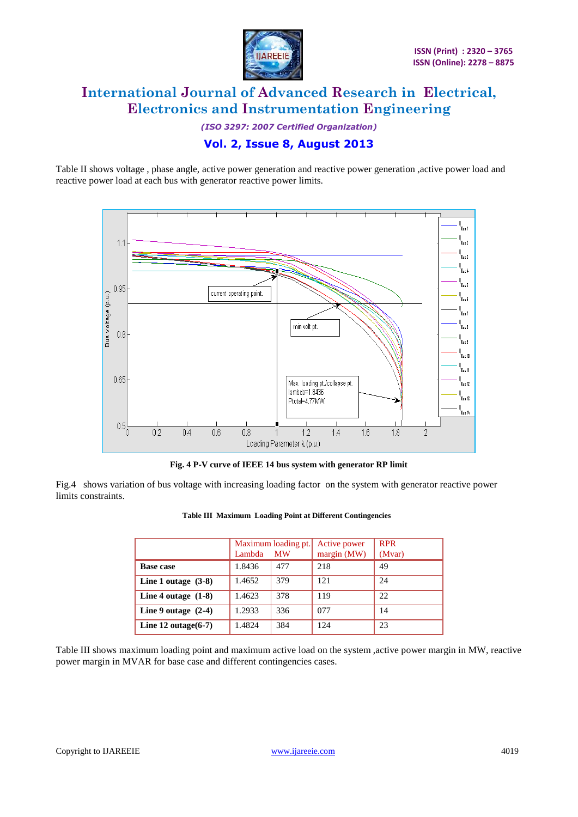

*(ISO 3297: 2007 Certified Organization)* **Vol. 2, Issue 8, August 2013**

Table II shows voltage , phase angle, active power generation and reactive power generation ,active power load and reactive power load at each bus with generator reactive power limits.



**Fig. 4 P-V curve of IEEE 14 bus system with generator RP limit**

Fig.4 shows variation of bus voltage with increasing loading factor on the system with generator reactive power limits constraints.

|                        | Lambda | Maximum loading pt.<br><b>MW</b> | Active power<br>margin (MW) | <b>RPR</b><br>(Mvar) |
|------------------------|--------|----------------------------------|-----------------------------|----------------------|
| <b>Base case</b>       | 1.8436 | 477                              | 218                         | 49                   |
| Line 1 outage $(3-8)$  | 1.4652 | 379                              | 121                         | 24                   |
| Line 4 outage $(1-8)$  | 1.4623 | 378                              | 119                         | 22                   |
| Line 9 outage $(2-4)$  | 1.2933 | 336                              | 077                         | 14                   |
| Line 12 outage $(6-7)$ | 1.4824 | 384                              | 124                         | 23                   |

#### **Table III Maximum Loading Point at Different Contingencies**

Table III shows maximum loading point and maximum active load on the system ,active power margin in MW, reactive power margin in MVAR for base case and different contingencies cases.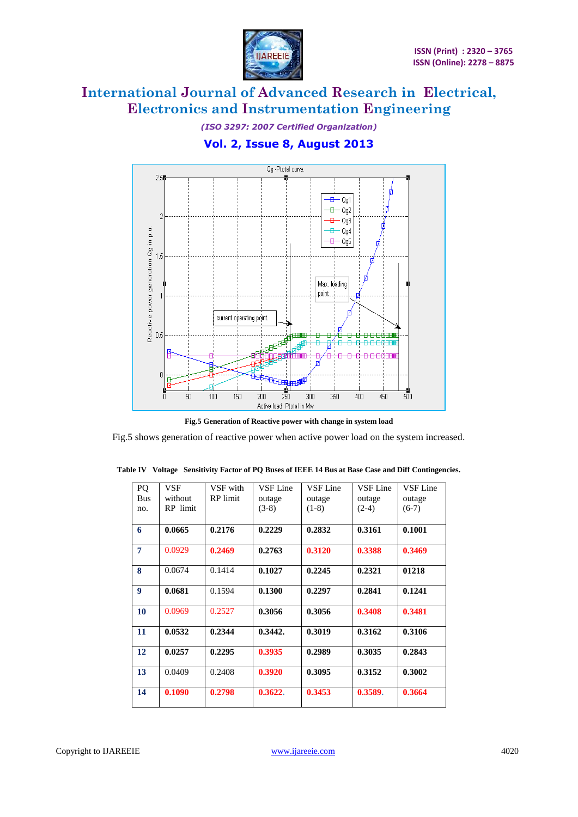

*(ISO 3297: 2007 Certified Organization)* **Vol. 2, Issue 8, August 2013**



**Fig.5 Generation of Reactive power with change in system load**

Fig.5 shows generation of reactive power when active power load on the system increased.

| PQ             | VSF      | VSF with        | VSF Line | VSF Line | VSF Line | VSF Line |
|----------------|----------|-----------------|----------|----------|----------|----------|
| <b>Bus</b>     | without  | <b>RP</b> limit | outage   | outage   | outage   | outage   |
| no.            | RP limit |                 | $(3-8)$  | $(1-8)$  | $(2-4)$  | $(6-7)$  |
|                |          |                 |          |          |          |          |
| 6              | 0.0665   | 0.2176          | 0.2229   | 0.2832   | 0.3161   | 0.1001   |
| $\overline{7}$ | 0.0929   | 0.2469          | 0.2763   | 0.3120   | 0.3388   | 0.3469   |
| 8              | 0.0674   | 0.1414          | 0.1027   | 0.2245   | 0.2321   | 01218    |
| 9              | 0.0681   | 0.1594          | 0.1300   | 0.2297   | 0.2841   | 0.1241   |
| 10             | 0.0969   | 0.2527          | 0.3056   | 0.3056   | 0.3408   | 0.3481   |
| 11             | 0.0532   | 0.2344          | 0.3442.  | 0.3019   | 0.3162   | 0.3106   |
| 12             | 0.0257   | 0.2295          | 0.3935   | 0.2989   | 0.3035   | 0.2843   |
| 13             | 0.0409   | 0.2408          | 0.3920   | 0.3095   | 0.3152   | 0.3002   |
| 14             | 0.1090   | 0.2798          | 0.3622.  | 0.3453   | 0.3589.  | 0.3664   |

**Table IV Voltage Sensitivity Factor of PQ Buses of IEEE 14 Bus at Base Case and Diff Contingencies.**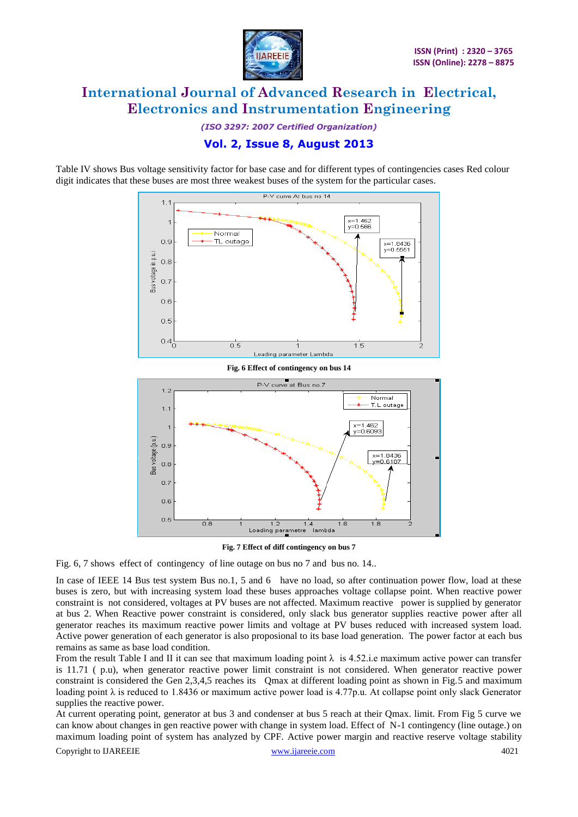

*(ISO 3297: 2007 Certified Organization)* **Vol. 2, Issue 8, August 2013**

Table IV shows Bus voltage sensitivity factor for base case and for different types of contingencies cases Red colour digit indicates that these buses are most three weakest buses of the system for the particular cases.





**Fig. 7 Effect of diff contingency on bus 7**

Fig. 6, 7 shows effect of contingency of line outage on bus no 7 and bus no. 14..

In case of IEEE 14 Bus test system Bus no.1, 5 and 6 have no load, so after continuation power flow, load at these buses is zero, but with increasing system load these buses approaches voltage collapse point. When reactive power constraint is not considered, voltages at PV buses are not affected. Maximum reactive power is supplied by generator at bus 2. When Reactive power constraint is considered, only slack bus generator supplies reactive power after all generator reaches its maximum reactive power limits and voltage at PV buses reduced with increased system load. Active power generation of each generator is also proposional to its base load generation. The power factor at each bus remains as same as base load condition.

From the result Table I and II it can see that maximum loading point  $\lambda$  is 4.52.i.e maximum active power can transfer is 11.71 ( p.u), when generator reactive power limit constraint is not considered. When generator reactive power constraint is considered the Gen 2,3,4,5 reaches its Qmax at different loading point as shown in Fig.5 and maximum loading point λ is reduced to 1.8436 or maximum active power load is 4.77p.u. At collapse point only slack Generator supplies the reactive power.

Copyright to IJAREEIE [www.ijareeie.com](http://www.ijareeie.com/) 4021 At current operating point, generator at bus 3 and condenser at bus 5 reach at their Qmax. limit. From Fig 5 curve we can know about changes in gen reactive power with change in system load. Effect of N-1 contingency (line outage.) on maximum loading point of system has analyzed by CPF. Active power margin and reactive reserve voltage stability